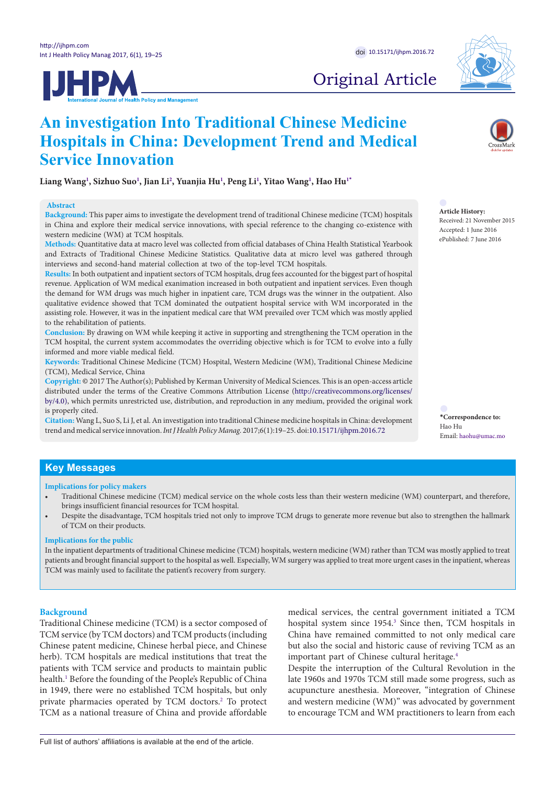**Service Innovation**

western medicine (WM) at TCM hospitals.

**Abstract**

**IJHPM** 

**An investigation Into Traditional Chinese Medicine** 

**Liang Wan[g1](#page-6-0) , Sizhuo Suo[1](#page-6-0) , Jian Li[2](#page-6-1) , Yuanjia H[u1](#page-6-0) , Peng L[i1](#page-6-0) , Yitao Wan[g1](#page-6-0) , Hao Hu[1](#page-6-0)[\\*](#page-0-0)**

interviews and second-hand material collection at two of the top-level TCM hospitals.

**Hospitals in China: Development Trend and Medical** 

**Background:** This paper aims to investigate the development trend of traditional Chinese medicine (TCM) hospitals in China and explore their medical service innovations, with special reference to the changing co-existence with

**Methods:** Quantitative data at macro level was collected from official databases of China Health Statistical Yearbook and Extracts of Traditional Chinese Medicine Statistics. Qualitative data at micro level was gathered through

**Results:** In both outpatient and inpatient sectors of TCM hospitals, drug fees accounted for the biggest part of hospital revenue. Application of WM medical exanimation increased in both outpatient and inpatient services. Even though the demand for WM drugs was much higher in inpatient care, TCM drugs was the winner in the outpatient. Also qualitative evidence showed that TCM dominated the outpatient hospital service with WM incorporated in the assisting role. However, it was in the inpatient medical care that WM prevailed over TCM which was mostly applied

**Conclusion:** By drawing on WM while keeping it active in supporting and strengthening the TCM operation in the TCM hospital, the current system accommodates the overriding objective which is for TCM to evolve into a fully

**Keywords:** Traditional Chinese Medicine (TCM) Hospital, Western Medicine (WM), Traditional Chinese Medicine

**Copyright:** © 2017 The Author(s); Published by Kerman University of Medical Sciences. This is an open-access article distributed under the terms of the Creative Commons Attribution License [\(http://creativecommons.org/licenses/](http://creativecommons.org/licenses/by/4.0) [by/4.0](http://creativecommons.org/licenses/by/4.0)), which permits unrestricted use, distribution, and reproduction in any medium, provided the original work

**Citation:** Wang L, Suo S, Li J, et al. An investigation into traditional Chinese medicine hospitals in China: development trend and medical service innovation. *Int J Health Policy Manag.* 2017;6(1):19–25. doi:[10.15171/ijhpm.2016.72](http://dx.doi.org/10.15171/ijhpm.2016.72)



# Original Article



#### **Article History:** Received: 21 November 2015 Accepted: 1 June 2016 ePublished: 7 June 2016

<span id="page-0-0"></span>**\*Correspondence to:** Hao Hu Email: haohu@umac.mo

# **Key Messages**

is properly cited.

**Implications for policy makers**

to the rehabilitation of patients.

(TCM), Medical Service, China

informed and more viable medical field.

- Traditional Chinese medicine (TCM) medical service on the whole costs less than their western medicine (WM) counterpart, and therefore, brings insufficient financial resources for TCM hospital.
- Despite the disadvantage, TCM hospitals tried not only to improve TCM drugs to generate more revenue but also to strengthen the hallmark of TCM on their products.

#### **Implications for the public**

In the inpatient departments of traditional Chinese medicine (TCM) hospitals, western medicine (WM) rather than TCM was mostly applied to treat patients and brought financial support to the hospital as well. Especially, WM surgery was applied to treat more urgent cases in the inpatient, whereas TCM was mainly used to facilitate the patient's recovery from surgery.

# **Background**

Traditional Chinese medicine (TCM) is a sector composed of TCM service (by TCM doctors) and TCM products (including Chinese patent medicine, Chinese herbal piece, and Chinese herb). TCM hospitals are medical institutions that treat the patients with TCM service and products to maintain public health.<sup>[1](#page-6-2)</sup> Before the founding of the People's Republic of China in 1949, there were no established TCM hospitals, but only private pharmacies operated by TCM doctors.<sup>2</sup> To protect TCM as a national treasure of China and provide affordable

medical services, the central government initiated a TCM hospital system since 1954.<sup>3</sup> Since then, TCM hospitals in China have remained committed to not only medical care but also the social and historic cause of reviving TCM as an important part of Chinese cultural heritage.<sup>[4](#page-6-5)</sup>

Despite the interruption of the Cultural Revolution in the late 1960s and 1970s TCM still made some progress, such as acupuncture anesthesia. Moreover, "integration of Chinese and western medicine (WM)" was advocated by government to encourage TCM and WM practitioners to learn from each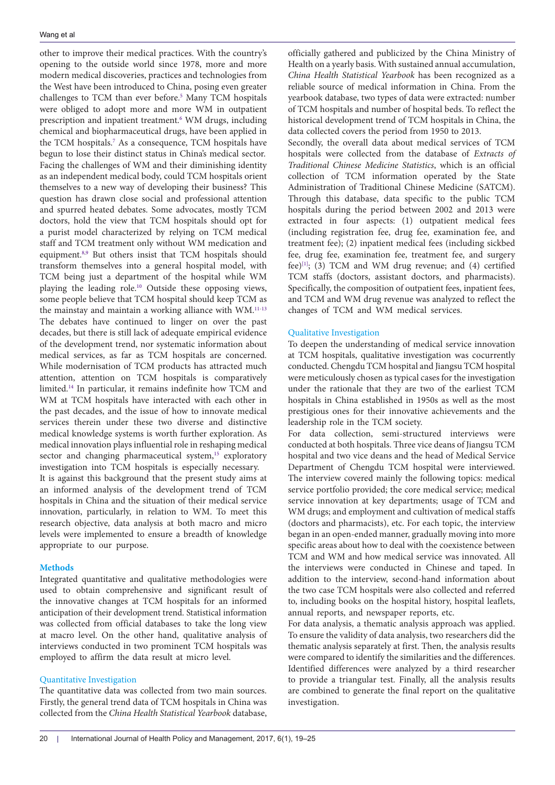other to improve their medical practices. With the country's opening to the outside world since 1978, more and more modern medical discoveries, practices and technologies from the West have been introduced to China, posing even greater challenges to TCM than ever before.<sup>5</sup> Many TCM hospitals were obliged to adopt more and more WM in outpatient prescription and inpatient treatment.<sup>[6](#page-6-7)</sup> WM drugs, including chemical and biopharmaceutical drugs, have been applied in the TCM hospitals.[7](#page-6-8) As a consequence, TCM hospitals have begun to lose their distinct status in China's medical sector. Facing the challenges of WM and their diminishing identity as an independent medical body, could TCM hospitals orient themselves to a new way of developing their business? This question has drawn close social and professional attention and spurred heated debates. Some advocates, mostly TCM doctors, hold the view that TCM hospitals should opt for a purist model characterized by relying on TCM medical staff and TCM treatment only without WM medication and equipment.<sup>[8,](#page-6-9)[9](#page-6-10)</sup> But others insist that TCM hospitals should transform themselves into a general hospital model, with TCM being just a department of the hospital while WM playing the leading role.[10](#page-6-11) Outside these opposing views, some people believe that TCM hospital should keep TCM as the mainstay and maintain a working alliance with WM[.11-](#page-6-12)[13](#page-6-13) The debates have continued to linger on over the past decades, but there is still lack of adequate empirical evidence of the development trend, nor systematic information about medical services, as far as TCM hospitals are concerned. While modernisation of TCM products has attracted much attention, attention on TCM hospitals is comparatively limited[.14](#page-6-14) In particular, it remains indefinite how TCM and WM at TCM hospitals have interacted with each other in the past decades, and the issue of how to innovate medical services therein under these two diverse and distinctive medical knowledge systems is worth further exploration. As medical innovation plays influential role in reshaping medical sector and changing pharmaceutical system,<sup>[15](#page-6-15)</sup> exploratory investigation into TCM hospitals is especially necessary.

It is against this background that the present study aims at an informed analysis of the development trend of TCM hospitals in China and the situation of their medical service innovation, particularly, in relation to WM. To meet this research objective, data analysis at both macro and micro levels were implemented to ensure a breadth of knowledge appropriate to our purpose.

# **Methods**

Integrated quantitative and qualitative methodologies were used to obtain comprehensive and significant result of the innovative changes at TCM hospitals for an informed anticipation of their development trend. Statistical information was collected from official databases to take the long view at macro level. On the other hand, qualitative analysis of interviews conducted in two prominent TCM hospitals was employed to affirm the data result at micro level.

# Quantitative Investigation

The quantitative data was collected from two main sources. Firstly, the general trend data of TCM hospitals in China was collected from the *China Health Statistical Yearbook* database,

officially gathered and publicized by the China Ministry of Health on a yearly basis. With sustained annual accumulation, *China Health Statistical Yearbook* has been recognized as a reliable source of medical information in China. From the yearbook database, two types of data were extracted: number of TCM hospitals and number of hospital beds. To reflect the historical development trend of TCM hospitals in China, the data collected covers the period from 1950 to 2013.

Secondly, the overall data about medical services of TCM hospitals were collected from the database of *Extracts of Traditional Chinese Medicine Statistics*, which is an official collection of TCM information operated by the State Administration of Traditional Chinese Medicine (SATCM). Through this database, data specific to the public TCM hospitals during the period between 2002 and 2013 were extracted in four aspects: (1) outpatient medical fees (including registration fee, drug fee, examination fee, and treatment fee); (2) inpatient medical fees (including sickbed fee, drug fee, examination fee, treatment fee, and surgery fee) $[1]$ ; (3) TCM and WM drug revenue; and (4) certified TCM staffs (doctors, assistant doctors, and pharmacists). Specifically, the composition of outpatient fees, inpatient fees, and TCM and WM drug revenue was analyzed to reflect the changes of TCM and WM medical services.

# Qualitative Investigation

To deepen the understanding of medical service innovation at TCM hospitals, qualitative investigation was cocurrently conducted. Chengdu TCM hospital and Jiangsu TCM hospital were meticulously chosen as typical cases for the investigation under the rationale that they are two of the earliest TCM hospitals in China established in 1950s as well as the most prestigious ones for their innovative achievements and the leadership role in the TCM society.

For data collection, semi-structured interviews were conducted at both hospitals. Three vice deans of Jiangsu TCM hospital and two vice deans and the head of Medical Service Department of Chengdu TCM hospital were interviewed. The interview covered mainly the following topics: medical service portfolio provided; the core medical service; medical service innovation at key departments; usage of TCM and WM drugs; and employment and cultivation of medical staffs (doctors and pharmacists), etc. For each topic, the interview began in an open-ended manner, gradually moving into more specific areas about how to deal with the coexistence between TCM and WM and how medical service was innovated. All the interviews were conducted in Chinese and taped. In addition to the interview, second-hand information about the two case TCM hospitals were also collected and referred to, including books on the hospital history, hospital leaflets, annual reports, and newspaper reports, etc.

For data analysis, a thematic analysis approach was applied. To ensure the validity of data analysis, two researchers did the thematic analysis separately at first. Then, the analysis results were compared to identify the similarities and the differences. Identified differences were analyzed by a third researcher to provide a triangular test. Finally, all the analysis results are combined to generate the final report on the qualitative investigation.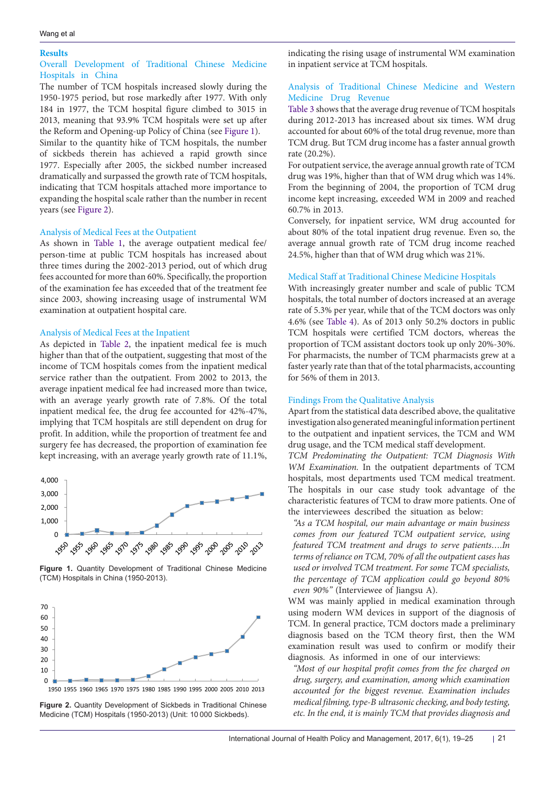#### **Results**

# Overall Development of Traditional Chinese Medicine Hospitals in China

The number of TCM hospitals increased slowly during the 1950-1975 period, but rose markedly after 1977. With only 184 in 1977, the TCM hospital figure climbed to 3015 in 2013, meaning that 93.9% TCM hospitals were set up after the Reform and Opening-up Policy of China (see [Figure 1\)](#page-2-0).

Similar to the quantity hike of TCM hospitals, the number of sickbeds therein has achieved a rapid growth since 1977. Especially after 2005, the sickbed number increased dramatically and surpassed the growth rate of TCM hospitals, indicating that TCM hospitals attached more importance to expanding the hospital scale rather than the number in recent years (see [Figure 2](#page-2-1)).

# Analysis of Medical Fees at the Outpatient

As shown in [Table 1,](#page-3-0) the average outpatient medical fee/ person-time at public TCM hospitals has increased about three times during the 2002-2013 period, out of which drug fees accounted for more than 60%. Specifically, the proportion of the examination fee has exceeded that of the treatment fee since 2003, showing increasing usage of instrumental WM examination at outpatient hospital care.

# Analysis of Medical Fees at the Inpatient

As depicted in [Table 2](#page-3-1), the inpatient medical fee is much higher than that of the outpatient, suggesting that most of the income of TCM hospitals comes from the inpatient medical service rather than the outpatient. From 2002 to 2013, the average inpatient medical fee had increased more than twice, with an average yearly growth rate of 7.8%. Of the total inpatient medical fee, the drug fee accounted for 42%-47%, implying that TCM hospitals are still dependent on drug for profit. In addition, while the proportion of treatment fee and surgery fee has decreased, the proportion of examination fee kept increasing, with an average yearly growth rate of 11.1%,

<span id="page-2-0"></span>

**Figure 1.** Quantity Development of Traditional Chinese Medicine (TCM) Hospitals in China (1950-2013).

<span id="page-2-1"></span>

1950 1955 1960 1965 1970 1975 1980 1985 1990 1995 2000 2005 2010 2013

**Figure 2.** Quantity Development of Sickbeds in Traditional Chinese Medicine (TCM) Hospitals (1950-2013) (Unit: 10 000 Sickbeds).

indicating the rising usage of instrumental WM examination in inpatient service at TCM hospitals.

# Analysis of Traditional Chinese Medicine and Western Medicine Drug Revenue

[Table 3](#page-4-0) shows that the average drug revenue of TCM hospitals during 2012-2013 has increased about six times. WM drug accounted for about 60% of the total drug revenue, more than TCM drug. But TCM drug income has a faster annual growth rate (20.2%).

For outpatient service, the average annual growth rate of TCM drug was 19%, higher than that of WM drug which was 14%. From the beginning of 2004, the proportion of TCM drug income kept increasing, exceeded WM in 2009 and reached 60.7% in 2013.

Conversely, for inpatient service, WM drug accounted for about 80% of the total inpatient drug revenue. Even so, the average annual growth rate of TCM drug income reached 24.5%, higher than that of WM drug which was 21%.

# Medical Staff at Traditional Chinese Medicine Hospitals

With increasingly greater number and scale of public TCM hospitals, the total number of doctors increased at an average rate of 5.3% per year, while that of the TCM doctors was only 4.6% (see [Table 4\)](#page-4-1). As of 2013 only 50.2% doctors in public TCM hospitals were certified TCM doctors, whereas the proportion of TCM assistant doctors took up only 20%-30%. For pharmacists, the number of TCM pharmacists grew at a faster yearly rate than that of the total pharmacists, accounting for 56% of them in 2013.

#### Findings From the Qualitative Analysis

Apart from the statistical data described above, the qualitative investigation also generated meaningful information pertinent to the outpatient and inpatient services, the TCM and WM drug usage, and the TCM medical staff development.

*TCM Predominating the Outpatient: TCM Diagnosis With WM Examination.* In the outpatient departments of TCM hospitals, most departments used TCM medical treatment. The hospitals in our case study took advantage of the characteristic features of TCM to draw more patients. One of the interviewees described the situation as below:

*"As a TCM hospital, our main advantage or main business comes from our featured TCM outpatient service, using featured TCM treatment and drugs to serve patients….In terms of reliance on TCM, 70% of all the outpatient cases has used or involved TCM treatment. For some TCM specialists, the percentage of TCM application could go beyond 80% even 90%"* (Interviewee of Jiangsu A).

WM was mainly applied in medical examination through using modern WM devices in support of the diagnosis of TCM. In general practice, TCM doctors made a preliminary diagnosis based on the TCM theory first, then the WM examination result was used to confirm or modify their diagnosis. As informed in one of our interviews:

*"Most of our hospital profit comes from the fee charged on drug, surgery, and examination, among which examination accounted for the biggest revenue. Examination includes medical filming, type-B ultrasonic checking, and body testing, etc. In the end, it is mainly TCM that provides diagnosis and*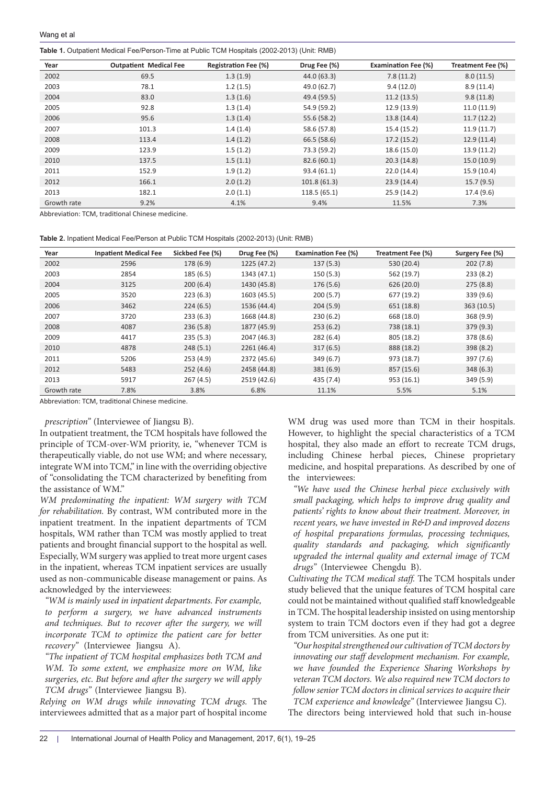<span id="page-3-0"></span>**Table 1.** Outpatient Medical Fee/Person-Time at Public TCM Hospitals (2002-2013) (Unit: RMB)

| Year        | <b>Outpatient Medical Fee</b> | <b>Registration Fee (%)</b> | Drug Fee (%) | <b>Examination Fee (%)</b> | Treatment Fee (%) |
|-------------|-------------------------------|-----------------------------|--------------|----------------------------|-------------------|
| 2002        | 69.5                          | 1.3(1.9)                    | 44.0 (63.3)  | 7.8(11.2)                  | 8.0(11.5)         |
| 2003        | 78.1                          | 1.2(1.5)                    | 49.0 (62.7)  | 9.4(12.0)                  | 8.9(11.4)         |
| 2004        | 83.0                          | 1.3(1.6)                    | 49.4 (59.5)  | 11.2(13.5)                 | 9.8(11.8)         |
| 2005        | 92.8                          | 1.3(1.4)                    | 54.9 (59.2)  | 12.9(13.9)                 | 11.0(11.9)        |
| 2006        | 95.6                          | 1.3(1.4)                    | 55.6 (58.2)  | 13.8 (14.4)                | 11.7(12.2)        |
| 2007        | 101.3                         | 1.4(1.4)                    | 58.6 (57.8)  | 15.4(15.2)                 | 11.9(11.7)        |
| 2008        | 113.4                         | 1.4(1.2)                    | 66.5 (58.6)  | 17.2(15.2)                 | 12.9(11.4)        |
| 2009        | 123.9                         | 1.5(1.2)                    | 73.3 (59.2)  | 18.6(15.0)                 | 13.9 (11.2)       |
| 2010        | 137.5                         | 1.5(1.1)                    | 82.6(60.1)   | 20.3(14.8)                 | 15.0(10.9)        |
| 2011        | 152.9                         | 1.9(1.2)                    | 93.4(61.1)   | 22.0(14.4)                 | 15.9(10.4)        |
| 2012        | 166.1                         | 2.0(1.2)                    | 101.8(61.3)  | 23.9(14.4)                 | 15.7(9.5)         |
| 2013        | 182.1                         | 2.0(1.1)                    | 118.5 (65.1) | 25.9 (14.2)                | 17.4 (9.6)        |
| Growth rate | 9.2%                          | 4.1%                        | 9.4%         | 11.5%                      | 7.3%              |

Abbreviation: TCM, traditional Chinese medicine.

<span id="page-3-1"></span>**Table 2.** Inpatient Medical Fee/Person at Public TCM Hospitals (2002-2013) (Unit: RMB)

| Year        | <b>Inpatient Medical Fee</b> | Sickbed Fee (%) | Drug Fee (%) | <b>Examination Fee (%)</b> | Treatment Fee (%) | Surgery Fee (%) |
|-------------|------------------------------|-----------------|--------------|----------------------------|-------------------|-----------------|
| 2002        | 2596                         | 178 (6.9)       | 1225 (47.2)  | 137(5.3)                   | 530 (20.4)        | 202(7.8)        |
| 2003        | 2854                         | 185(6.5)        | 1343 (47.1)  | 150(5.3)                   | 562 (19.7)        | 233(8.2)        |
| 2004        | 3125                         | 200(6.4)        | 1430 (45.8)  | 176(5.6)                   | 626 (20.0)        | 275(8.8)        |
| 2005        | 3520                         | 223(6.3)        | 1603 (45.5)  | 200(5.7)                   | 677 (19.2)        | 339 (9.6)       |
| 2006        | 3462                         | 224(6.5)        | 1536 (44.4)  | 204(5.9)                   | 651 (18.8)        | 363(10.5)       |
| 2007        | 3720                         | 233(6.3)        | 1668 (44.8)  | 230(6.2)                   | 668 (18.0)        | 368 (9.9)       |
| 2008        | 4087                         | 236(5.8)        | 1877 (45.9)  | 253(6.2)                   | 738 (18.1)        | 379(9.3)        |
| 2009        | 4417                         | 235(5.3)        | 2047 (46.3)  | 282(6.4)                   | 805 (18.2)        | 378 (8.6)       |
| 2010        | 4878                         | 248(5.1)        | 2261 (46.4)  | 317(6.5)                   | 888 (18.2)        | 398 (8.2)       |
| 2011        | 5206                         | 253(4.9)        | 2372 (45.6)  | 349(6.7)                   | 973 (18.7)        | 397 (7.6)       |
| 2012        | 5483                         | 252(4.6)        | 2458 (44.8)  | 381(6.9)                   | 857 (15.6)        | 348(6.3)        |
| 2013        | 5917                         | 267(4.5)        | 2519 (42.6)  | 435 (7.4)                  | 953 (16.1)        | 349 (5.9)       |
| Growth rate | 7.8%                         | 3.8%            | 6.8%         | 11.1%                      | 5.5%              | 5.1%            |

Abbreviation: TCM, traditional Chinese medicine.

*prescription"* (Interviewee of Jiangsu B).

In outpatient treatment, the TCM hospitals have followed the principle of TCM-over-WM priority, ie, "whenever TCM is therapeutically viable, do not use WM; and where necessary, integrate WM into TCM," in line with the overriding objective of "consolidating the TCM characterized by benefiting from the assistance of WM."

*WM predominating the inpatient: WM surgery with TCM for rehabilitation.* By contrast, WM contributed more in the inpatient treatment. In the inpatient departments of TCM hospitals, WM rather than TCM was mostly applied to treat patients and brought financial support to the hospital as well. Especially, WM surgery was applied to treat more urgent cases in the inpatient, whereas TCM inpatient services are usually used as non-communicable disease management or pains. As acknowledged by the interviewees:

*"WM is mainly used in inpatient departments. For example, to perform a surgery, we have advanced instruments*  and techniques. But to recover after the surgery, we will *incorporate TCM to optimize the patient care for better recovery"* (Interviewee Jiangsu A).

*"The inpatient of TCM hospital emphasizes both TCM and WM. To some extent, we emphasize more on WM, like surgeries, etc. But before and after the surgery we will apply TCM drugs"* (Interviewee Jiangsu B).

*Relying on WM drugs while innovating TCM drugs.* The interviewees admitted that as a major part of hospital income WM drug was used more than TCM in their hospitals. However, to highlight the special characteristics of a TCM hospital, they also made an effort to recreate TCM drugs, including Chinese herbal pieces, Chinese proprietary medicine, and hospital preparations. As described by one of the interviewees:

*"We have used the Chinese herbal piece exclusively with small packaging, which helps to improve drug quality and patients' rights to know about their treatment. Moreover, in recent years, we have invested in R&D and improved dozens of hospital preparations formulas, processing techniques, quality standards and packaging, which significantly upgraded the internal quality and external image of TCM drugs"* (Interviewee Chengdu B).

*Cultivating the TCM medical staff.* The TCM hospitals under study believed that the unique features of TCM hospital care could not be maintained without qualified staff knowledgeable in TCM. The hospital leadership insisted on using mentorship system to train TCM doctors even if they had got a degree from TCM universities. As one put it:

*"Our hospital strengthened our cultivation of TCM doctors by innovating our staff development mechanism. For example, we have founded the Experience Sharing Workshops by veteran TCM doctors. We also required new TCM doctors to follow senior TCM doctors in clinical services to acquire their TCM experience and knowledge"* (Interviewee Jiangsu C). The directors being interviewed hold that such in-house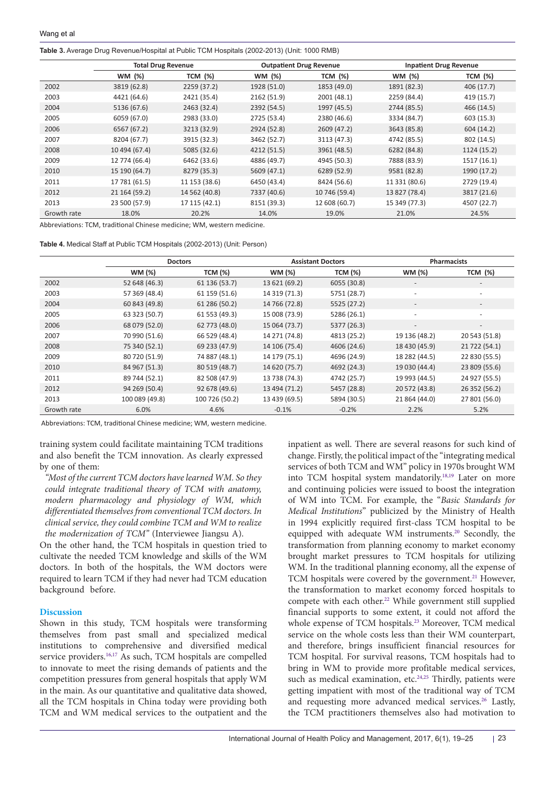<span id="page-4-0"></span>**Table 3.** Average Drug Revenue/Hospital at Public TCM Hospitals (2002-2013) (Unit: 1000 RMB)

|             | <b>Total Drug Revenue</b> |                | <b>Outpatient Drug Revenue</b> |                | <b>Inpatient Drug Revenue</b> |                |
|-------------|---------------------------|----------------|--------------------------------|----------------|-------------------------------|----------------|
|             | WM (%)                    | <b>TCM</b> (%) | WM (%)                         | <b>TCM</b> (%) | WM (%)                        | <b>TCM</b> (%) |
| 2002        | 3819 (62.8)               | 2259 (37.2)    | 1928 (51.0)                    | 1853 (49.0)    | 1891 (82.3)                   | 406(17.7)      |
| 2003        | 4421 (64.6)               | 2421 (35.4)    | 2162 (51.9)                    | 2001 (48.1)    | 2259 (84.4)                   | 419 (15.7)     |
| 2004        | 5136 (67.6)               | 2463 (32.4)    | 2392 (54.5)                    | 1997 (45.5)    | 2744 (85.5)                   | 466 (14.5)     |
| 2005        | 6059 (67.0)               | 2983 (33.0)    | 2725 (53.4)                    | 2380 (46.6)    | 3334 (84.7)                   | 603(15.3)      |
| 2006        | 6567 (67.2)               | 3213 (32.9)    | 2924 (52.8)                    | 2609 (47.2)    | 3643 (85.8)                   | 604(14.2)      |
| 2007        | 8204 (67.7)               | 3915 (32.3)    | 3462 (52.7)                    | 3113 (47.3)    | 4742 (85.5)                   | 802 (14.5)     |
| 2008        | 10 494 (67.4)             | 5085 (32.6)    | 4212 (51.5)                    | 3961 (48.5)    | 6282 (84.8)                   | 1124 (15.2)    |
| 2009        | 12 774 (66.4)             | 6462 (33.6)    | 4886 (49.7)                    | 4945 (50.3)    | 7888 (83.9)                   | 1517 (16.1)    |
| 2010        | 15 190 (64.7)             | 8279 (35.3)    | 5609 (47.1)                    | 6289 (52.9)    | 9581 (82.8)                   | 1990 (17.2)    |
| 2011        | 17 781 (61.5)             | 11 153 (38.6)  | 6450 (43.4)                    | 8424 (56.6)    | 11 331 (80.6)                 | 2729 (19.4)    |
| 2012        | 21 164 (59.2)             | 14 562 (40.8)  | 7337 (40.6)                    | 10 746 (59.4)  | 13 827 (78.4)                 | 3817 (21.6)    |
| 2013        | 23 500 (57.9)             | 17 115 (42.1)  | 8151 (39.3)                    | 12 608 (60.7)  | 15 349 (77.3)                 | 4507 (22.7)    |
| Growth rate | 18.0%                     | 20.2%          | 14.0%                          | 19.0%          | 21.0%                         | 24.5%          |

Abbreviations: TCM, traditional Chinese medicine; WM, western medicine.

<span id="page-4-1"></span>

|             | <b>Doctors</b> |                |               | <b>Assistant Doctors</b> | <b>Pharmacists</b>       |                          |
|-------------|----------------|----------------|---------------|--------------------------|--------------------------|--------------------------|
|             | WM (%)         | <b>TCM (%)</b> | WM (%)        | <b>TCM (%)</b>           | WM (%)                   | <b>TCM</b> (%)           |
| 2002        | 52 648 (46.3)  | 61 136 (53.7)  | 13 621 (69.2) | 6055 (30.8)              | $\overline{\phantom{a}}$ |                          |
| 2003        | 57 369 (48.4)  | 61 159 (51.6)  | 14 319 (71.3) | 5751 (28.7)              | ٠                        | $\overline{\phantom{a}}$ |
| 2004        | 60 843 (49.8)  | 61 286 (50.2)  | 14 766 (72.8) | 5525 (27.2)              | $\overline{\phantom{a}}$ | $\overline{\phantom{a}}$ |
| 2005        | 63 323 (50.7)  | 61 553 (49.3)  | 15 008 (73.9) | 5286 (26.1)              | $\overline{\phantom{a}}$ | $\overline{\phantom{a}}$ |
| 2006        | 68 079 (52.0)  | 62 773 (48.0)  | 15 064 (73.7) | 5377 (26.3)              | $\overline{\phantom{a}}$ | $\overline{\phantom{a}}$ |
| 2007        | 70 990 (51.6)  | 66 529 (48.4)  | 14 271 (74.8) | 4813 (25.2)              | 19 136 (48.2)            | 20 543 (51.8)            |
| 2008        | 75 340 (52.1)  | 69 233 (47.9)  | 14 106 (75.4) | 4606 (24.6)              | 18 430 (45.9)            | 21 722 (54.1)            |
| 2009        | 80 720 (51.9)  | 74 887 (48.1)  | 14 179 (75.1) | 4696 (24.9)              | 18 282 (44.5)            | 22 830 (55.5)            |
| 2010        | 84 967 (51.3)  | 80 519 (48.7)  | 14 620 (75.7) | 4692 (24.3)              | 19 030 (44.4)            | 23 809 (55.6)            |
| 2011        | 89 744 (52.1)  | 82 508 (47.9)  | 13 738 (74.3) | 4742 (25.7)              | 19 993 (44.5)            | 24 927 (55.5)            |
| 2012        | 94 269 (50.4)  | 92 678 (49.6)  | 13 494 (71.2) | 5457 (28.8)              | 20 572 (43.8)            | 26 352 (56.2)            |
| 2013        | 100 089 (49.8) | 100 726 (50.2) | 13 439 (69.5) | 5894 (30.5)              | 21 864 (44.0)            | 27 801 (56.0)            |
| Growth rate | 6.0%           | 4.6%           | $-0.1%$       | $-0.2%$                  | 2.2%                     | 5.2%                     |

Abbreviations: TCM, traditional Chinese medicine; WM, western medicine.

training system could facilitate maintaining TCM traditions and also benefit the TCM innovation. As clearly expressed by one of them:

*"Most of the current TCM doctors have learned WM. So they could integrate traditional theory of TCM with anatomy, modern pharmacology and physiology of WM, which differentiated themselves from conventional TCM doctors. In clinical service, they could combine TCM and WM to realize the modernization of TCM"* (Interviewee Jiangsu A).

On the other hand, the TCM hospitals in question tried to cultivate the needed TCM knowledge and skills of the WM doctors. In both of the hospitals, the WM doctors were required to learn TCM if they had never had TCM education background before.

# **Discussion**

Shown in this study, TCM hospitals were transforming themselves from past small and specialized medical institutions to comprehensive and diversified medical service providers.<sup>[16](#page-6-17)[,17](#page-6-18)</sup> As such, TCM hospitals are compelled to innovate to meet the rising demands of patients and the competition pressures from general hospitals that apply WM in the main. As our quantitative and qualitative data showed, all the TCM hospitals in China today were providing both TCM and WM medical services to the outpatient and the

inpatient as well. There are several reasons for such kind of change. Firstly, the political impact of the "integrating medical services of both TCM and WM" policy in 1970s brought WM into TCM hospital system mandatorily[.18](#page-6-19)[,19](#page-6-20) Later on more and continuing policies were issued to boost the integration of WM into TCM. For example, the "*Basic Standards for Medical Institutions*" publicized by the Ministry of Health in 1994 explicitly required first-class TCM hospital to be equipped with adequate WM instruments.<sup>[20](#page-6-21)</sup> Secondly, the transformation from planning economy to market economy brought market pressures to TCM hospitals for utilizing WM. In the traditional planning economy, all the expense of TCM hospitals were covered by the government.<sup>[21](#page-6-22)</sup> However, the transformation to market economy forced hospitals to compete with each other.<sup>22</sup> While government still supplied financial supports to some extent, it could not afford the whole expense of TCM hospitals.<sup>23</sup> Moreover, TCM medical service on the whole costs less than their WM counterpart, and therefore, brings insufficient financial resources for TCM hospital. For survival reasons, TCM hospitals had to bring in WM to provide more profitable medical services, such as medical examination, etc.<sup>24,25</sup> Thirdly, patients were getting impatient with most of the traditional way of TCM and requesting more advanced medical services.<sup>[26](#page-6-27)</sup> Lastly, the TCM practitioners themselves also had motivation to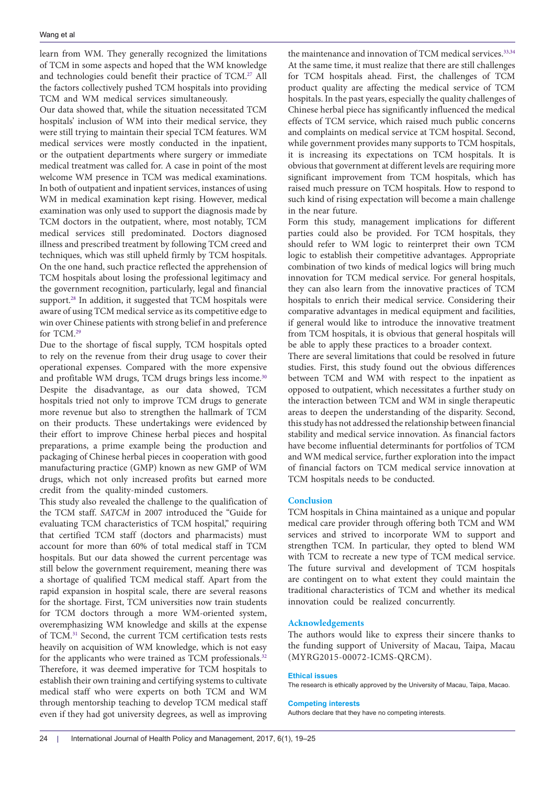learn from WM. They generally recognized the limitations of TCM in some aspects and hoped that the WM knowledge and technologies could benefit their practice of TCM.<sup>27</sup> All the factors collectively pushed TCM hospitals into providing TCM and WM medical services simultaneously.

Our data showed that, while the situation necessitated TCM hospitals' inclusion of WM into their medical service, they were still trying to maintain their special TCM features. WM medical services were mostly conducted in the inpatient, or the outpatient departments where surgery or immediate medical treatment was called for. A case in point of the most welcome WM presence in TCM was medical examinations. In both of outpatient and inpatient services, instances of using WM in medical examination kept rising. However, medical examination was only used to support the diagnosis made by TCM doctors in the outpatient, where, most notably, TCM medical services still predominated. Doctors diagnosed illness and prescribed treatment by following TCM creed and techniques, which was still upheld firmly by TCM hospitals. On the one hand, such practice reflected the apprehension of TCM hospitals about losing the professional legitimacy and the government recognition, particularly, legal and financial support.<sup>28</sup> In addition, it suggested that TCM hospitals were aware of using TCM medical service as its competitive edge to win over Chinese patients with strong belief in and preference for TCM[.29](#page-6-30)

Due to the shortage of fiscal supply, TCM hospitals opted to rely on the revenue from their drug usage to cover their operational expenses. Compared with the more expensive and profitable WM drugs, TCM drugs brings less income.<sup>[30](#page-6-31)</sup> Despite the disadvantage, as our data showed, TCM hospitals tried not only to improve TCM drugs to generate more revenue but also to strengthen the hallmark of TCM on their products. These undertakings were evidenced by their effort to improve Chinese herbal pieces and hospital preparations, a prime example being the production and packaging of Chinese herbal pieces in cooperation with good manufacturing practice (GMP) known as new GMP of WM drugs, which not only increased profits but earned more credit from the quality-minded customers.

This study also revealed the challenge to the qualification of the TCM staff. *SATCM* in 2007 introduced the "Guide for evaluating TCM characteristics of TCM hospital," requiring that certified TCM staff (doctors and pharmacists) must account for more than 60% of total medical staff in TCM hospitals. But our data showed the current percentage was still below the government requirement, meaning there was a shortage of qualified TCM medical staff. Apart from the rapid expansion in hospital scale, there are several reasons for the shortage. First, TCM universities now train students for TCM doctors through a more WM-oriented system, overemphasizing WM knowledge and skills at the expense of TCM.[31](#page-6-32) Second, the current TCM certification tests rests heavily on acquisition of WM knowledge, which is not easy for the applicants who were trained as TCM professionals.<sup>[32](#page-6-33)</sup> Therefore, it was deemed imperative for TCM hospitals to establish their own training and certifying systems to cultivate medical staff who were experts on both TCM and WM through mentorship teaching to develop TCM medical staff even if they had got university degrees, as well as improving

the maintenance and innovation of TCM medical services.<sup>33,[34](#page-6-35)</sup> At the same time, it must realize that there are still challenges for TCM hospitals ahead. First, the challenges of TCM product quality are affecting the medical service of TCM hospitals. In the past years, especially the quality challenges of Chinese herbal piece has significantly influenced the medical effects of TCM service, which raised much public concerns and complaints on medical service at TCM hospital. Second, while government provides many supports to TCM hospitals, it is increasing its expectations on TCM hospitals. It is obvious that government at different levels are requiring more significant improvement from TCM hospitals, which has raised much pressure on TCM hospitals. How to respond to such kind of rising expectation will become a main challenge in the near future.

Form this study, management implications for different parties could also be provided. For TCM hospitals, they should refer to WM logic to reinterpret their own TCM logic to establish their competitive advantages. Appropriate combination of two kinds of medical logics will bring much innovation for TCM medical service. For general hospitals, they can also learn from the innovative practices of TCM hospitals to enrich their medical service. Considering their comparative advantages in medical equipment and facilities, if general would like to introduce the innovative treatment from TCM hospitals, it is obvious that general hospitals will be able to apply these practices to a broader context.

There are several limitations that could be resolved in future studies. First, this study found out the obvious differences between TCM and WM with respect to the inpatient as opposed to outpatient, which necessitates a further study on the interaction between TCM and WM in single therapeutic areas to deepen the understanding of the disparity. Second, this study has not addressed the relationship between financial stability and medical service innovation. As financial factors have become influential determinants for portfolios of TCM and WM medical service, further exploration into the impact of financial factors on TCM medical service innovation at TCM hospitals needs to be conducted.

# **Conclusion**

TCM hospitals in China maintained as a unique and popular medical care provider through offering both TCM and WM services and strived to incorporate WM to support and strengthen TCM. In particular, they opted to blend WM with TCM to recreate a new type of TCM medical service. The future survival and development of TCM hospitals are contingent on to what extent they could maintain the traditional characteristics of TCM and whether its medical innovation could be realized concurrently.

# **Acknowledgements**

The authors would like to express their sincere thanks to the funding support of University of Macau, Taipa, Macau (MYRG2015-00072-ICMS-QRCM).

# **Ethical issues**

The research is ethically approved by the University of Macau, Taipa, Macao.

# **Competing interests**

Authors declare that they have no competing interests.